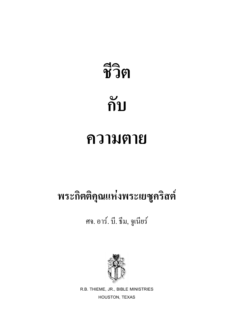# **- ก**

## **ความตาย**

### พระกิตติลุณแห่งพระเยซูคริสต์

#### ศจ. อาร์. บี. ธีม, จูเนียร์



R.B. THIEME, JR., BIBLE MINISTRIES HOUSTON, TEXAS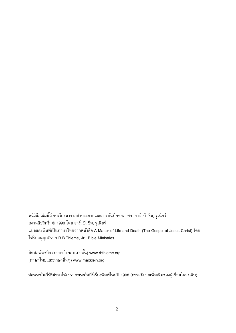หนังสือเล่มนี้เรียบเรียงมาจากคำบรรยายและการบันทึกของ ศจ. อาร์. บี. ธีม, จูเนียร์ สงวนลิขสิทธิ์ © 1990 โดย อาร์. บี. รีม, จูเนียร์ ี แปลและพิมพ์เป็นภาษาไทยจากหนังสือ A Matter of Life and Death (The Gospel of Jesus Christ) โดย ได้รับอนุญาติจาก R.B.Thieme, Jr., Bible Ministries

์ติตต่อพันธกิจ (ภาษาอังกฤษเท่านั้น) www.rbthieme.org (ภาษาไทยและภาษาอื่นๆ) www.maxklein.org

ข้อพระคัมภีร์ที่นำมาใช้มาจากพระคัมภีร์เรียงพิมพ์ใหม่ปี 1998 (การอธิบายเพิ่มเติมของผู้เขียนในวงเล็บ)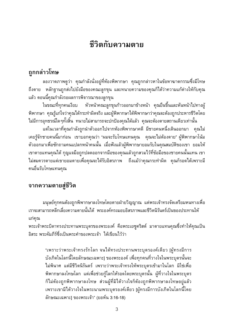#### ชีวิตกับความตาย

#### ัถูกกล**่**าวโทษ

้ลองวาดภาพดูว่า คุณกำลังนั่งอยู่ที่ห้องพิพากษา คุณถูกกล่าวหาในข้อหาฆาตกรรมซึ่งมีโทษ ้ถึงตาย หลักฐานถูกส่งไปยังมือของคณะลูกขุน และทนายความของคุณก็ได้ว่าความแก้ต่างให้กับคุณ แล้ว ตอนนี้คุณกำลังรอผลการพิจารณาของลูกขุน

่ ในขณะที่ทุกคนเงียบ หัวหน้าคณะลูกขุนก้าวออกมาข้างหน้า คุณยืนขึ้นและหันหน้าไปทางผู้ ้พิพากษา คุณรู้แก่ใจว่าคุณได้กระทำผิดจริง และผู้พิพากษาได้พิพากษาว่าคุณจะต้องถูกประหารชีวิตโดย ไม่มีการอุทธรณ์ใดๆทั้งสิ้น ทนายไม่สามารถจะปกป้องคุณได้แล้ว คุณจะต้องตายสถานเดียวเท่านั้น

้แต่ในเวลาที่คุณกำลังถูกนำตัวออกไปจากห้องพิพากษาคดี มีชายคนหนึ่งเดินออกมา คุณไม่ ้เคยรู้จักชายคนนี้มาก่อน เขาบอกคุณว่า "ผมจะรับโทษแทนคุณ คุณจะไม่ต้องตาย" ผู้พิพากษาโน้ม ตัวออกมาเพื่อซักถามคนแปลกหน้าคนนั้น เมื่อฟังแล้วผู้พิพากษายอมรับในคุณสมบัติของเขา ยอมให้ ้ เขาตายแทนคุณได้ กุญแจมือถูกปลดออกจากมือของคุณแล้วถูกสวมไว้ที่ข้อมือของชายคนนั้นแทน เขา ี่ ไม่สมควรตายแต่เขายอมตายเพื่อคุณจะได้รับอิสรภาพ ถึงแม้ว่าคุณกระทำผิด คุณก็รอดได้เพราะมี ้คนอื่นรับโทษแทนคุณ

#### จากความตายสู่ชีวิต

้มนุษย์ทุกคนต้องถูกพิพากษาลงโทษโดยตายฝ่ายวิญญาณ แต่พระเจ้าทรงจัดเตรียมหนทางเพื่อ ้เราจะสามารถหลีกเลี่ยงความตายนั้นได้ พระองค์ทรงมอบอิสรภาพและชีวิตนิรันดร์เป็นของประทานให้ แก่คณ

พระเจ้าพระบิดาทรงประทานพระบุตรของพระองค์ คือพระเยซูคริสต์ มาตายแทนคุณซึ่งทำให้คุณเป็น อิสระ พระคัมภีร์ซึ่งเป็นพระคำของพระเจ้า ได้เขียนไว้ว่า

"เพราะว่าพระเจ้าทรงรักโลก จนได้ทรงประทานพระบุตรองค์เดียว [ผู้ทรงมีการ ้บังเกิดในโลกนี้โดยลักษณะเฉพาะ] ของพระองค์ เพื่อทุกคนที่วางใจในพระบุตรนั้นจะ ไม่พินาศ แต่มีชีวิตนิรันดร์ เพราะว่าพระเจ้าทรงให้พระบุตรเข้ามาในโลก มิใช่เพื่อ ้พิพากษาลงโทษโลก แต่เพื่อช่วยกู้โลกให้รอดโดยพระบุตรนั้น ผู้ที่วางใจในพระบุตร ก็ไม่ต้องถูกพิพากษาลงโทษ ส่วนผู้ที่มิได้วางใจก็ต้องถูกพิพากษาลงโทษอยู่แล้ว เพราะเขามิได้วางใจในพระนามพระบุตรองค์เดียว [ผู้ทรงมีการบังเกิดในโลกนี้โดย ลักษณะเฉพาะ] ของพระเจ้า" (ยอห์น 3:16-18)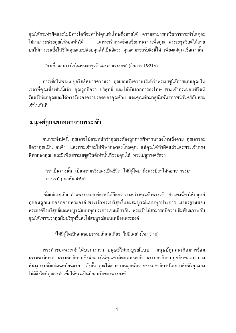้คุณได้กระทำผิดและไม่มีทางใดที่จะทำให้คุณพ้นโทษถึงตายได้ ความสามารถหรือการกระทำใดๆจะ ไม่สามารถช่วยคณให้รอดพ้นได้ แต่พระเจ้าทรงจัดเตรียมหนทางเพื่อคุณ พระเยซูคริสต์ได้ตาย ึบนไม้กางเขนซึ่งไถ่ชีวิตคุณและปล่อยคุณให้เป็นอิสระ คุณสามารถรับสิ่งนี้ได้ เพียงแค่คุณเชื่อเท่านั้น

"จงเชื่อและวางใจในพระเยซูเจ้าและท่านจะรอด" (กิจการ 16:31ก)

ึการเชื่อในพระเยซูคริสต์หมายความว่า คุณยอมรับความจริงที่ว่าพระเยซูได้ตายแทนคุณ ใน ้เวลาที่คุณเชื่อเช่นนี้แล้ว คุณถูกถือว่า บริสุทธิ์ และได้พ้นจากการลงโทษ พระเจ้าทรงมอบชีวิตนิ ้รันดร์ให้แก่คุณและได้ทรงรับรองความรอดของคุณด้วย และคุณเข้ามาสู่สัมพันธภาพนิรันดร์กับพระ เจ้าในทันที

#### มนุษย์ถูกแยกออกจากพระเจ้า

้จนกระทั่งบัดนี้ คุณอาจไม่ตระหนักว่าคุณจะต้องถูกการพิพากษาลงโทษถึงตาย คุณอาจจะ ้คิดว่าคุณเป็น 'คนดี' และพระเจ้าจะไม่พิพากษาลงโทษคุณ แต่คุณได้ทำผิดแล้วและพระเจ้าทรง ้พิพากษาคุณ และมีเพียงพระเยซูคริสต์เท่านั้นที่ช่วยคุณได้ พระเยซูทรงตรัสว่า

"เราเป็นทางนั้น เป็นความจริงและเป็นชีวิต ไม่มีผู้ใดมาถึงพระบิดาได้นอกจากจะมา ทางเรา" (ยอห์น 4:6ข)

้ตั้งแต่แรกเกิด กำแพงธรรมชาติบาปได้กีดขวางระหว่างคุณกับพระเจ้า กำแพงนี้ทำให้มนุษย์ ทุกคนถูกแยกออกจากพระองค์ พระเจ้าทรงบริสุทธิ์และสมบูรณ์แบบทุกประการ มาตรฐานของ ี พระองค์จึงบริสุทธิ์และสมบูรณ์แบบทุกประการเช่นเดียวกัน พระเจ้าไม่สามารถมีความสัมพันธภาพกับ ้คุณได้เพราะว่าคุณไม่บริสุทธิ์และไม่สมบูรณ์แบบเหมือนพระองค์

"ไม่มีผู้ใดเป็นคนชอบธรรมสักคนเดียว ไม่มีเลย" (โรม 3:10)

พระคำของพระเจ้าได้บอกเราว่า มนุษย์ไม่สมบูรณ์แบบ มนุษย์ทุกคนเกิดมาพร้อม ธรรมชาติบาป ธรรมชาติบาปซึ่งล่อลวงให้คุณทำผิดต่อพระเจ้า ธรรมชาติบาปถูกสืบทอดมาทาง ี พันธุกรรมตั้งแต่มนุษย์คนแรก ดังนั้น คุณไม่สามารถหลุดพ้นจากธรรมชาติบาปโดยอาศัยตัวคุณเอง ไม่มีสิ่งใดที่คุณจะทำเพื่อให้คุณเป็นที่ยอมรับของพระองค์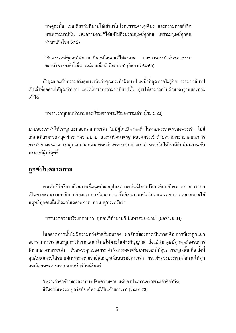"เหตุฉะนั้น เช่นเดียวกับที่บาปได้เข้ามาในโลกเพราะคนๆเดียว และความตายก็เกิด มาเพราะบาปนั้น และความตายก็ได้แผ่ไปถึงมวลมนุษย์ทุกคน เพราะมนุษย์ทุกคน ทำบาป" (โรม 5:12)

"ข้าพระองค์ทุกคนได้กลายเป็นเหมือนคนที่ไม่สะอาด และการกระทำอันชอบธรรม ของข้าพระองค์ทั้งสิ้น เหมือนเสื้อผ้าที่สกปรก" (อิสยาห์ 64:6ก)

ถ้าคุณยอมรับความจริงคุณจะเห็นว่าคุณกระทำผิดบาป แต่สิ่งที่คุณอาจไม่รู้คือ ธรรมชาติบาป ้เป็นสิ่งที่ล่อลวงให้คุณทำบาป และเนื่องจากธรรมชาติบาปนั้น คุณไม่สามารถไปถึงมาตรฐานของพระ เจ้าได้

"เพราะว่าทุกคนทำบาปและเสื่อมจากพระสิริของพระเจ้า" (โรม 3:23)

บาปของเราทำไห้เราถูกแยกออกจากพระเจ้า ไม่มีผู้ใดเป็น 'คนดี' ในสายพระเนตรของพระเจ้า ไม่มี ี่สักคนที่สามารถหลุดพ้นจากความบาป และมาถึงมาตรฐานของพระเจ้าด้วยความพยายามและการ ึกระทำของตนเอง เราถูกแยกออกจากพระเจ้าเพราะบาปของเรากีดขวางไม่ให้เรามีสัมพันธภาพกับ พระองค์ผู้บริสุทธิ์

#### ถูกขังในตลาดทาส

้พระคัมภีร์อธิบายถึงสภาพที่มนุษย์ตกอยู่ในสภาวะเช่นนี้โดยเปรียบเทียบกับตลาดทาส เราตก ้เป็นทาสต่อธรรมชาติบาปของเรา ทาสไม่สามารถซื้ออิสรภาพหรือไถ่ตนเองออกจากตลาดทาสได้ ้มนุษย์ทุกคนนั้นเกิดมาในตลาดทาส พระเยซูทรงตรัสว่า

"เราบอกความจริงแก่ท่านว่า ทุกคนที่ทำบาปก็เป็นทาสของบาป" (ยอห์น 8:34)

่ ในตลาดทาสนั้นไม่มีความหวังสำหรับอนาคต ผลลัพธ์ของการเป็นทาส คือ การที่เราถูกแยก ้ออกจากพระเจ้าและถูกการพิพากษาลงโทษให้ตายในฝ่ายวิญญาณ ถึงแม้ว่ามนุษย์ทุกคนต้องรับการ ี พิพากษาจากพระเจ้า ด้วยพระคุณของพระเจ้า จึงทรงจัดเตรียมทางออกให้คุณ พระคุณนั้น คือ สิ่งที่ ้คุณไม่สมควรได้รับ แต่เพราะความรักอันสมบูรณ์แบบของพระเจ้า พระเจ้าทรงประทานโอกาสให้ทุก ดนเลือกระหว่างความตายหรือชีวิตนิรันดร์

"เพราะว่าค่าจ้างของความบาปคือความตาย แต่ของประทานจากพระเจ้าคือชีวิต นิรันดร์ในพระเยซูคริสต์องค์พระผู้เป็นเจ้าของเรา" (โรม 6:23)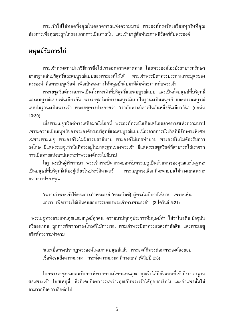ี พระเจ้าไม่ได้ทอดทิ้งคุณในตลาดทาสแห่งความบาป พระองค์ทรงจัดเตรียมทุกสิ่งที่คุณ ้ต้องการเพื่อคุณจะถูกไถ่ถอนจากการเป็นทาสนั้น และเข้ามาสู่สัมพันธภาพนิรันดร์กับพระองค์

#### ้มนุษย์รับการไถ่

พระเจ้าทรงสถาปนาวิธีการซึ่งไถ่เราออกจากตลาดทาส โดยพระองค์เองยังสามารถรักษา มาตรฐานอันบริสุทธิ์และสมบูรณ์แบบของพระองค์ไว้ได้ พระเจ้าพระบิดาทรงประทานพระบุตรของ ้พระองค์ คือพระเยซูคริสต์ เพื่อเป็นหนทางให้มนุษย์กลับมามีสัมพันธภาพกับพระเจ้า

้พระเยซูคริสต์ทรงสภาพเป็นทั้งพระเจ้าที่บริสุทธิ์และสมบูรณ์แบบ และเป็นทั้งมนุษย์ที่บริสุทธิ์ และสมบูรณ์แบบเช่นเดียวกัน พระเยซูคริสต์ทรงสมบูรณ์แบบในฐานะเป็นมนุษย์ และทรงสมบูรณ์ แบบในฐานะเป็นพระเจ้า พระเยซูทรงประกาศว่า "เรากับพระบิดาเป็นอันหนึ่งอันเดียวกัน" (ยอห์น  $10:30$ 

เมื่อพระเยซูคริสต์ทรงเสด็จมายังโลกนี้ พระองค์ทรงบังเกิดเหนือตลาดทาสแห่งความบาป เพราะความเป็นมนุษย์ของพระองค์ทรงบริสุทธิ์และสมบูรณ์แบบเนื่องจากการบังเกิดที่มีลักษณะพิเศษ ้เฉพาะพระเยซู พระองค์จึงไม่มีธรรมชาติบาป พระองค์ไม่เคยทำบาป พระองค์จึงไม่ต้องรับการ ลงโทษ มีแต่พระเยซูเท่านั้นที่ทรงอยู่ในมาตรฐานของพระเจ้า มีแต่พระเยซูคริสต์ที่สามารถไถ่เราจาก การเป็นทาสแห่งบาปเพราะว่าพระองค์ทรงไม่มีบาป

ในฐานะเป็นผู้พิพากษา พระเจ้าพระบิดาทรงยอมรับพระเยซูเป็นตัวแทนของคุณและในฐานะ เป็นมนุษย์ที่บริสุทธิ์เพียงผู้เดียวในประวัติศาสตร์ พระเยซูทรงเลือกที่จะตายบนไม้กางเขนเพราะ ความบาปของคุณ

"เพราะว่าพระเจ้าได้ทรงกระทำพระองค์ [พระคริสต์] ผู้ทรงไม่มีบาปให้บาป เพราะเห็น แก่เรา เพื่อเราจะได้เป็นคนชอบธรรมของพระเจ้าทางพระองค์" (2 โครินธ์ 5:21)

ี พระเยซูทรงตายแทนคุณและมนุษย์ทุกคน ความบาปทุกๆประการที่มนุษย์ทำ ไม่ว่าในอดีต ปัจจุบัน หรืออนาคต ถูกการพิพากษาลงโทษที่ไม้กางเขน พระเจ้าพระบิดาทรงแถลงคำตัดสิน และพระเยซู คริสต์ทรงกระทำตาม

"และเมื่อทรงปรากฏพระองค์ในสภาพมนุษย์แล้ว พระองค์ก็ทรงถ่อมพระองค์ลงยอม เชื่อฟังจนถึงความมรณา กระทั่งความมรณาที่กางเขน" (ฟิลิปปี 2:8)

โดยพระเยซูทรงยอมรับการพิพากษาลงโทษแทนคุณ คุณจึงได้มีตัวแทนที่เข้าถึงมาตรฐาน ีของพระเจ้า โดยเหตุนี้ สิ่งที่เคยกีดขวางระหว่างคุณกับพระเจ้าได้ถูกยกเลิกไป และกำแพงนั้นไม่ สามารถกีดขวางอีกต่อไป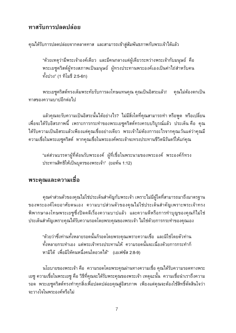#### ทาสรับการปลดปล่อย

คุณได้รับการปลดปล่อยจากตลาดทาส และสามารถเข้าสู่สัมพันธภาพกับพระเจ้าได้แล้ว

"ด้วยเหตุว่ามีพระเจ้าองค์เดียว และมีคนกลางแต่ผู้เดียวระหว่างพระเจ้ากับมนุษย์ คือ พระเยซูคริสต์ผู้ทรงสภาพเป็นมนุษย์ ผู้ทรงประทานพระองค์เองเป็นค่าไถ่สำหรับคน ทั้งปวง" (1 ทิโมธี 2:5-6ก)

พระเยซูคริสต์ทรงเต็มพระทัยรับการลงโทษแทนคุณ คุณเป็นอิสระแล้ว! ้คุณไม่ต้องตกเป็น ทาสของความบาปอีกต่อไป

แล้วคุณจะรับความเป็นอิสระนั้นได้อย่างไร? ไม่มีสิ่งใดที่คุณสามารถทำ หรือพูด หรือเปลี่ยน ้เพื่อจะได้รับอิสรภาพนี้ เพราะการกระทำของพระเยซูคริสต์ทรงครบบริบูรณ์แล้ว ประเด็น คือ คุณ ได้รับความเป็นอิสระแล้วเพียงแต่คุณเชื่ออย่างเดียว พระเจ้าไม่ต้องการอะไรจากคุณเว้นแต่ว่าคุณมี ้ความเชื่อในพระเยซูคริสต์ หากคุณเชื่อในพระองค์พระเจ้าจะทรงประทานชีวิตนิรันดร์ให้แก่คุณ

"แต่ส่วนบรรดาผู้ที่ต้อนรับพระองค์ ผู้ที่เชื่อในพระนามของพระองค์ พระองค์ก็ทรง ประทานสิทธิให้เป็นบุตรของพระเจ้า" (ยอห์น 1:12)

#### พระคุณและความเชื่อ

คุณค่าส่วนตัวของคุณไม่ใช่ประเด็นสำคัญกับพระเจ้า เพราะไม่มีผู้ใดที่สามารถมาถึงมาตรฐาน ของพระองค์โดยอาศัยตนเอง ความบาปส่วนตัวของคุณไม่ใช่ประเด็นสำคัญเพราะพระเจ้าทรง ี พิพากษาลงโทษพระเยซูซึ่งปิดคดีเรื่องความบาปแล้ว และความดีหรือการทำบุญของคุณก็ไม่ใช่ ประเด็นสำคัญเพราะคุณได้รับความรอดโดยพระคุณของพระเจ้า ไม่ใช่ด้วยการกระทำของคุณเอง

"ด้วยว่าซึ่งท่านทั้งหลายรอดนั้นก็รอดโดยพระคุณเพราะความเชื่อ และมิใช่โดยตัวท่าน ้ทั้งหลายกระทำเอง แต่พระเจ้าทรงประทานให้ ความรอดนั้นจะเนื่องด้วยการกระทำก็ หามิได้ เพื่อมิให้คนหนึ่งคนใดอวดได้" (เอเฟซัส 2:8-9)

นโยบายของพระเจ้า คือ ความรอดโดยพระคุณผ่านทางความเชื่อ คุณได้รับความรอดทางพระ ้เยซู ความเชื่อในพระเยซู คือ วิธีที่คุณจะได้รับพระคุณของพระเจ้า เหตุฉะนั้น ความเชื่อนำเราถึงความ รอด พระเยซูคริสต์ทรงทำทุกสิ่งเพื่อปลดปล่อยคุณสู่อิสรภาพ เพียงแต่คุณจะต้องใช้สิทธิ์ตัดสินใจว่า จะวางใจในพระองค์หรือไม่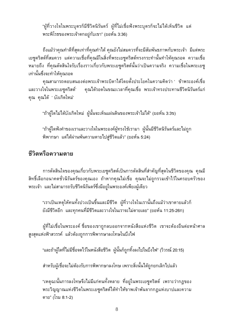"ผู้ที่วางใจในพระบุตรก็มีชีวิตนิรันดร์ ผู้ที่ไม่เชื่อฟังพระบุตรก็จะไม่ได้เห็นชีวิต แต่ พระพิโรธของพระเจ้าตกอยู่กับเขา" (ยอห์น 3:36)

้ถึงแม้ว่าคุณทำดีที่สุดเท่าที่คุณทำได้ คุณยังไม่สมควรที่จะมีสัมพันธภาพกับพระเจ้า มีแต่พระ เยซูคริสต์ที่สมควร แต่ความเชื่อที่คุณมีในสิ่งที่พระเยซูคริสต์ทรงกระทำนั้นทำให้คุณรอด ความเชื่อ หมายถึง ที่คุณตัดสินใจรับเรื่องราวเกี่ยวกับพระเยซูคริสต์นั้นว่าเป็นความจริง ความเชื่อในพระเยซู เท่านั้นซึ่งจะทำให้คุณรอด

คุณสามารถตอบสนองต่อพระเจ้าพระบิดาได้โดยตั้งประโยคในความคิดว่า ' ข้าพระองค์เชื่อ และวางใจในพระเยซูคริสต์' ้คุณได้รอดในขณะเวลาที่คุณเชื่อ พระเจ้าทรงประทานชีวิตนิรันดร์แก่ คุณ คุณได้ 'บังเกิดใหม่'

"ถ้าผู้ใดไม่ได้บังเกิดใหม่ ผู้นั้นจะเห็นแผ่นดินของพระเจ้าไม่ได้" (ยอห์น 3:3ข)

"ถ้าผู้ใดฟังคำของเราและวางใจในพระองค์ผู้ทรงใช้เรามา ผู้นั้นมีชีวิตนิรันดร์และไม่ถูก ้พิพากษา แต่ได้ผ่านพ้นความตายไปสู่ชีวิตแล้ว" (ยอห์น 5:24)

#### ชีวิตหรือความตาย

การตัดสินใจของคุณเกี่ยวกับพระเยซูคริสต์เป็นการตัดสินที่สำคัญที่สุดในชีวิตของคุณ คุณมี ้สิทธิ์เลือกอนาคตชั่วนิรันดร์ของคุณเอง ถ้าหากคุณไม่เชื่อ คุณจะไม่ถูกรวมเข้าไว้ในครอบครัวของ พระเจ้า และไม่สามารถรับชีวิดนิรันดร์ซึ่งมีอยู่ในพระองค์เพียงผู้เดียว

"เราเป็นเหตุให้คนทั้งปวงเป็นขึ้นและมีชีวิต ผู้ที่วางใจในเรานั้นถึงแม้ว่าเขาตายแล้วก็ ้ยังมีชีวิตอีก และทุกคนที่มีชีวิตและวางใจในเราจะไม่ตายเลย" (ยอห์น 11:25-26ก)

ผู้ที่ไม่เชื่อในพระองค์ ชื่อของเขาถูกลบออกจากหนังสือแห่งชีวิต เขาจะต้องยืนต่อหน้าศาล ้สูงสุดแห่งฟ้าสวรรค์ แล้วต้องถูกการพิพากษาลงโทษในบึงไฟ

"และถ้าผู้ใดที่ไม่มีชื่อจดไว้ในหนังสือชีวิต ผู้นั้นก็ถูกทิ้งลงไปในบึงไฟ" (วิวรณ์ 20:15)

้สำหรับผู้เชื่อจะไม่ต้องรับการพิพากษาลงโทษ เพราะสิ่งนั้นได้ถูกยกเลิกไปแล้ว

"เหตุฉะนั้นการลงโทษจึงไม่มีแก่คนทั้งหลาย ที่อยู่ในพระเยซูคริสต์ เพราะว่ากฎของ พระวิญญาณแห่งชีวิตในพระเยซูคริสต์ได้ทำไห้ขาพเจ้าพันจากกฎแห่งบาปและความ ตาย" (โรม 8:1-2)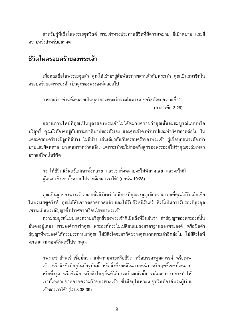้สำหรับผู้ที่เชื่อในพระเยซูคริสต์ พระเจ้าทรงประทานชีวิตที่มีความหมาย มีเป้าหมาย และมี ความหวังสำหรับอนาคต

#### ชีวิตในครอบครัวของพระเจ้า

้เมื่อคุณเชื่อในพระเยซูแล้ว คุณได้เข้ามาสู่สัมพันธภาพส่วนตัวกับพระเจ้า คุณเป็นสมาชิกใน ิ ครอบครัวของพระองค์ เป็นลูกของพระองค์ตลอดไป

"เพราะว่า ท่านทั้งหลายเป็นบุตรของพระเจ้าร่วมในพระเยซูคริสต์โดยความเชื่อ" (กาลาเทีย 3:26)

ิสถานภาพใหม่ที่คุณเป็นบุตรของพระเจ้าไม่ได้หมายความว่าคุณนั้นจะสมบูรณ์แบบหรือ ึบริสุทธิ์ คุณยังต้องต่อสู้กับธรรมชาติบาปของตัวเอง และคุณยังคงทำบาปและทำผิดพลาดต่อไป ใน แต่ละครอบครัวจะมีลูกที่ดีบ้าง ไม่ดีบ้าง เช่นเดียวกันกับครอบครัวของพระเจ้า ผู้เชื่อทุกคนจะต้องทำ ้บาปและผิดพลาด บางคนมากกว่าคนอื่น แต่พระเจ้าจะไม่ทอดทิ้งลูกของพระองค์ไม่ว่าคุณจะล้มเหลว มากแค่ไหนในชีวิต

"เราให้ชีวิตนิรันดร์แก่เขาทั้งหลาย และเขาทั้งหลายจะไม่พินาศเลย และจะไม่มี ผู้ใดแย่งชิงเขาทั้งหลายไปจากมือของเราได้" (ยอห์น 10:28)

้คุณเป็นลูกของพระเจ้าตลอดชั่วนิรันดร์ ไม่มีทางที่คุณจะสูญเสียความรอดที่คุณได้รับเมื่อเชื่อ ในพระเยซูคริสต์ คุณได้พ้นจากตลาดทาสแล้ว และได้รับชีวิตนิรันดร์ สิ่งนี้เป็นการรับรองที่สูงสุด เพราะเป็นพระสัญญาซึ่งปราศจากเงื่อนไขของพระเจ้า

้ความสมบูรณ์แบบและความบริสุทธิ์ของพระเจ้าก็เป็นสิ่งที่ยืนยันว่า คำสัญญาของพระองค์นั้น ้มั่นคงอยู่เสมอ พระองค์ทรงรักคุณ พระองค์ทรงไม่เปลี่ยนแปลงมาตรฐานของพระองค์ หรือผิดคำ ้สัญญาที่พระองค์ได้ทรงประทานแก่คุณ ไม่มีสิ่งใดจะมากีดขวางคุณจากพระเจ้าอีกต่อไป ไม่มีสิ่งใดที่ จะเอาความรอดนิรันดร์ไปจากคุณ

"เพราะว่าข้าพเจ้าเชื่อมั่นว่า แม้ความตายหรือชีวิต หรือบรรดาทูตสวรรค์ หรือเทพ เจ้า หรือสิ่งซึ่งมีอยู่ในปัจจุบันนี้ หรือสิ่งซึ่งจะมีในภายหน้า หรือฤทธิ์เดชทั้งหลาย หรือซึ่งสูง หรือซึ่งลึก หรือสิ่งใดๆอื่นที่ได้ทรงสร้างแล้วนั้น จะไม่สามารถกระทำให้ เราทั้งหลายขาดจากความรักของพระเจ้า ซึ่งมีอยู่ในพระเยซูคริสต์องค์พระผู้เป็น เจ้าของเราได้" (โรม8:38-39)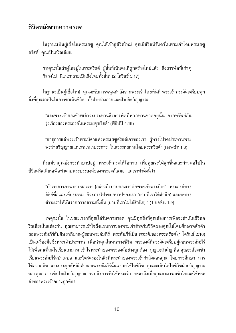#### ชิวิตหลังจากความรอด

ในฐานะเป็นผู้เชื่อในพระเยซู คุณได้เข้าสู่ชีวิตใหม่ คุณมีชีวิตนิรันดร์ในพระเจ้าโดยพระเยซู คริสต์ คุณเป็นคริสเตียน

"เหตุฉะนั้นถ้าผู้ใดอยู่ในพระคริสต์ ผู้นั้นก็เป็นคนที่ถูกสร้างใหม่แล้ว สิ่งสารพัดที่เก่าๆ ้ก็ล่วงไป นี่แน่ะกลายเป็นสิ่งใหม่ทั้งนั้น" (2 โครินธ์ 5:17)

ในฐานะเป็นผู้เชื่อใหม่ คุณจะรับการหนุนกำลังจากพระเจ้าโดยทันที พระเจ้าทรงจัดเตรียมทุก สิ่งที่คุณจำเป็นในการดำเนินชีวิต ทั้งฝ่ายร่างกายและฝ่ายจิตวิญญาณ

"และพระเจ้าของข้าพเจ้าจะประทานสิ่งสารพัดที่พวกท่านขาดอยู่นั้น จากทรัพย์อัน รุ่งเรืองของพระองค์ในพระเยซูคริสต์" (ฟีลิปปี 4:19)

"สาธุการแด่พระเจ้าพระบิดาแห่งพระเยซูคริสต์เจาของเรา ผู้ทรงโปรดประทานพระ พรฝ่ายวิญญาณแก่เรานานาประการ ในสวรรคสถานโดยพระคริสต์" (เอเฟซัส 1:3)

้ถึงแม้ว่าคุณยังกระทำบาปอยู่ พระเจ้าทรงให้โอกาส เพื่อคุณจะได้ลุกขึ้นและก้าวต่อไปใน ้ชีวิตคริสเตียนเพื่อทำตามพระประสงค์ของพระองค์เสมอ แค่เราทำดังนี้ว่า

"ถ้าเราสารภาพบาปของเรา [กล่าวถึงบาปของเราต่อพระเจ้าพระบิดา] พระองค์ทรง สัตย์ซื่อและเที่ยงธรรม ก็จะทรงโปรดยกบาปของเรา [บาปที่เราได้สำนึก] และจะทรง ชำระเราให้พันจากการอธรรมทั้งสิ้น [บาปที่เราไม่ได้สำนึก] " (1 ยอห์น 1:9)

้เหตุฉะนั้น ในขณะเวลาที่คุณได้รับความรอด คุณมีทุกสิ่งที่คุณต้องการเพื่อจะดำเนินชีวิตค ้ริสเตียนในแต่ละวัน คุณสามารถเข้าใจถึงแผนการของพระเจ้าสำหรับชีวิตของคุณได้โดยศึกษาหลักคำ สอนพระคัมภีร์กับศิษยาภิบาล-ผู้สอนพระคัมภีร์ พระคัมภีร์เป็น พระทัยของพระคริสต์ (1 โครินธ์ 2:16) ้เป็นเครื่องมือซึ่งพระเจ้าประทาน เพื่อนำคุณในหนทางชีวิต พระองค์ก็ทรงจัดเตรียมผู้สอนพระคัมภีร์ ไว้เพื่อคนที่สนใจเรียนสามารถเข้าใจพระคำของพระองค์อย่างถูกต้อง กุญแจสำคัญ คือ คุณจะต้องเข้า เรียนพระคัมภีร์สม่ำเสมอ และไตร่ตรองในสิ่งที่พระคำของพระเจ้ากำลังสอนคุณ โดยการศึกษา การ ใช้ความคิด และประยุกต์หลักคำสอนพระคัมภีร์นั้นเอามาใช้ในชีวิต คุณจะเติบโตในชีวิตฝ่ายวิญญาณ ของคุณ การเติบโตฝ่ายวิญญาณ รวมถึงการรับใช้พระเจ้า จะมาถึงเมื่อคุณสามารถเข้าใจและใช้พระ คำของพระเจ้าอย่างถูกต้อง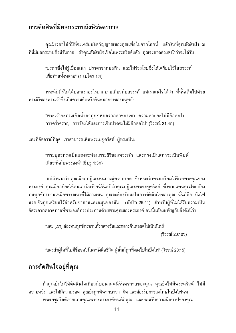#### การตัดสินที่มีผลกระทบถึงนิรันดรกาล

้คุณมีเวลาไม่กี่ปีที่จะเตรียมจิตวิญญาณของคุณเพื่อไปจากโลกนี้ แล้วสิ่งที่คุณตัดสินใจ ณ ี่ที่นี้มีผลกระทบถึงนิรันกาล ถ้าคุณตัดสินใจเชื่อในพระคริสต์แล้ว คุณจะคาดล่วงหน้าว่าจะได้รับ :

"มรดกซึ่งไม่รู้เปื่อยเน่า ปราศาจากมลทิน และไม่ร่วงโรยซึ่งได้เตรียมใว้ในสวรรค์ ูเพื่อท่านทั้งหลาย" (1 เปโตร 1:4)

พระคัมภีร์ไม่ได้บอกเราอะไรมากมายเกี่ยวกับสวรรค์ แต่เราแน่ใจได้ว่า ที่นั่นเต็มไปด้วย พระสิริของพระเจ้าซึ่งเกินความคิดหรือจินตนาการของมนุษย์:

"พระเจ้าจะทรงเช็ดน้ำตาทุกๆหยดจากตาของเขา ความตายจะไม่มีอีกต่อไป ี การคร่ำครวญ การร้องไห้และการเจ็บปวดจะไม่มีอีกต่อไป" (วิวรณ์ 21:4ก)

และที่อัศจรรย์ที่สุด เราสามารถเห็นพระเยซูคริสต์ ผู้ทรงเป็น:

"พระบุตรทรงเป็นแสงสะท้อนพระสิริของพระเจ้า และทรงเป็นสภาวะเป็นพิมพ์ เดียวกันกับพระองค์" (ฮีบรู 1:3ก)

แต่ถ้าหากว่า คุณเลือกปฏิเสธหนทางสู่ความรอด ซึ่งพระเจ้าทรงเตรียมไว้ด้วยพระคุณของ พระองค์ คุณเลือกที่จะให้ตนเองฝันร้ายนิรันดร์ ถ้าคุณปฏิเสธพระเยซูคริสต์ ซึ่งตายแทนคุณโดยต้อง ึทนทุกข์ทรมานเหลือพรรณนาที่ไม้กางเขน คุณจะต้องรับผลในการตัดสินใจของคุณ นั่นก็คือ บึงไฟ ็นรก ซึ่งถูกเตรียมไว้สำหรับซาตานและสมุนของมัน (มัทธิว 25:41) สำหรับผู้ที่ไม่ได้รับความเป็น ้อิสระจากตลาดทาสที่พระองค์ทรงประทานด้วยพระคุณของพระองค์ คนนั้นต้องเผชิญกับสิ่งดังนี้ว่า

"และ [เขา] ต้องทนทุกข์ทรมานทั้งกลางวันและกลางคืนตลอดไปเป็นนิตย์" (วิวรณ์ 20:10ข)

"และถ้าผู้ใดที่ไม่มีชื่อจดไว้ในหนังสือชีวิต ผู้นั้นก็ถูกทิ้งลงไปในบึงไฟ" (วิวรณ์ 20:15)

#### การตัดสินใจอยู่ที่คุณ

ถ้าคุณยังไม่ได้ตัดสินใจเกี่ยวกับอนาคตนิรันดรกาลของคุณ คุณยังไม่มีพระคริสต์ ไม่มี ้ความหวัง และไม่มีความรอด คุณยังถูกพิพากษาว่า ผิดและต้องรับการลงโทษในบึงไฟนรก พระเยซูคริสต์ตายแทนคุณเพราะพระองค์ทรงรักคุณ และยอมรับความผิดบาปของคุณ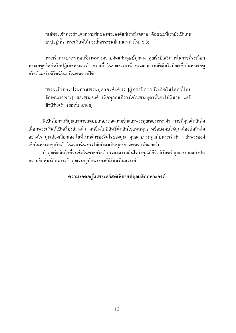"แต่พระเจ้าทรงสำแดงความรักของพระองค์แก่เราทั้งหลาย คือขณะที่เรายังเป็นคน ้บาปอย่นั้น พระคริสต์ได้ทรงสิ้นพระชนม์แทนเรา" (โรม 5:8)

้พระเจ้าทรงประทานเสรีภาพทางความคิดแก่มนุษย์ทุกคน คุณจึงมีเสรีภาพในการที่จะเลือก พระเยซูคริสต์หรือปฏิเสธพระองค์ ตอนนี้ ในขณะเวลานี้ คุณสามารถตัดสินใจที่จะเชื่อในพระเยซู คริสต์และรับชีวิตนิรันดร์ในพระองค์ได้

"พระเจ้าทรงประทานพระบุตรองค์เดียว [ผู้ทรงมีการบังเกิดในโลกนี้โดย ลักษณะเฉพาะ] ของพระองค์ เพื่อทุกคนที่วางใจในพระบุตรนั้นจะไม่พินาศ แต่มี ชีวนิรันดร์" (ยอห์น 3:16ข)

้ นี่เป็นโอกาสที่คุณสามารถตอบสนองต่อความรักและพระคุณของพระเจ้า การที่คุณตัดสินใจ เลือกพระคริสต์เป็นเรื่องส่วนตัว คนอื่นไม่มีสิทธิ์ตัดสินใจแทนคุณ หรือบังคับให้คุณต้องตัดสินใจ ้อย่างไร คุณต้องเลือกเอง ในที่ส่วนตัวของจิตใจของคุณ คุณสามารถทูลกับพระเจ้าว่า ' ข้าพระองค์ เชื่อในพระเยซูคริสต์' ในเวลานั้น คุณได้เข้ามาเป็นบุตรของพระองค์ตลอดไป

ถ้าคุณตัดสินใจที่จะเชื่อในพระคริสต์ คุณสามารถมั่นใจว่าคุณมีชีวิตนิรันดร์ คุณจะร่วมแบ่งปัน ความสัมพันธ์กับพระเจ้า คุณจะอยู่กับพระองค์นิรันดร์ในสวรรค์

ความรอดอยู่ในพระคริสต์เพียงแต่คุณเลือกพระองค์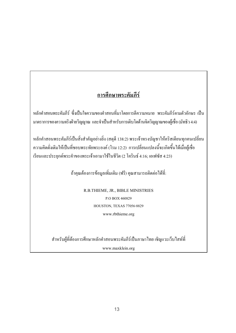#### ิการศึกษาพระคัมภีร์

หลักคำสอนพระคัมภีร์ ซึ่งเป็นใจความของคำสอนที่มาโดยการตีความหมาย พระคัมภีร์ตามตัวอักษร เป็น ้มาตราการของความจริงฝ่ายวิญญาณ และจำเป็นสำหรับการเติบโตด้านจิตวิญญาณของผู้เชื่อ (มัทธิว 4:4)

หลักคำสอนพระคัมภีร์เป็นสิ่งสำคัญอย่างยิ่ง (สดุดี 138:2) พระเจ้าทรงบัญชาให้คริสเตียนทุกคนเปลี่ยน ้ ความคิดดั่งเดิมให้เป็นที่ชอบพระทัยพระองค์ (โรม 12:2) การเปลี่ยนแปลงนี้จะเกิดขึ้นได้เมื่อผู้เชื่อ เรียนและประยุกต์พระคำของพระเจ้าเอามาใช้ในชีวิต (2 โครินธ์ 4:16; เอเฟซัส 4:23)

ถ้าคุณต้องการข้อมูลเพิ่มเติม (ฟรี) คุณสามารถติดต่อใด้ที่:

R.B.THIEME, JR., BIBLE MINISTRIES P.O BOX 460829 HOUSTON, TEXAS 77056-8829 www.rbthieme.org

สำหรับผู้ที่ต้องการศึกษาหลักคำสอนพระคัมภีร์เป็นภาษาไทย เชิญแวะเว็บไสท์ที่

www.maxklein.org